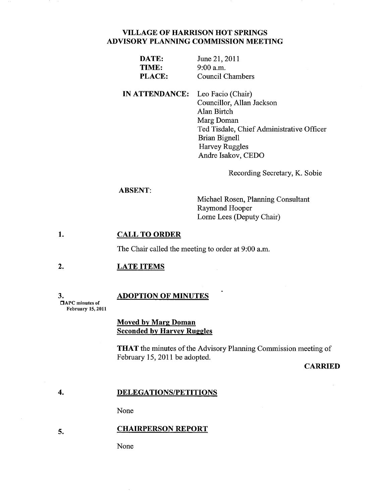# **VILLAGE OF HARRISON HOT SPRINGS ADVISORY PLANNING COMMISSION MEETING**

| DATE:  | June 21, 2011    |
|--------|------------------|
| TIME:  | $9:00$ a.m.      |
| PLACE: | Council Chambers |

**IN ATTENDANCE:**  Leo Facio (Chair) Councillor, Allan Jackson Alan Birtch Marg Doman Ted Tisdale, Chief Administrative Officer Brian Bignell Harvey Ruggles Andre Isakov, CEDO

Recording Secretary, K. Sobie

### **ABSENT:**

Michael Rosen, Planning Consultant Raymond Hooper Lome Lees (Deputy Chair)

#### **1. CALL TO ORDER**

The Chair called the meeting to order at 9:00 a.m.

#### **2. LATE ITEMS**

3. DAPC minutes of February 15, 2011

**5.** 

### **ADOPTION OF MINUTES**

**Moved by Marg Doman Seconded by Harvey Ruggles** 

**THAT** the minutes of the Advisory Planning Commission meeting of February 15, 2011 be adopted.

### **CARRIED**

#### **4. DELEGATIONS/PETITIONS**

None

### **CHAIRPERSON REPORT**

None